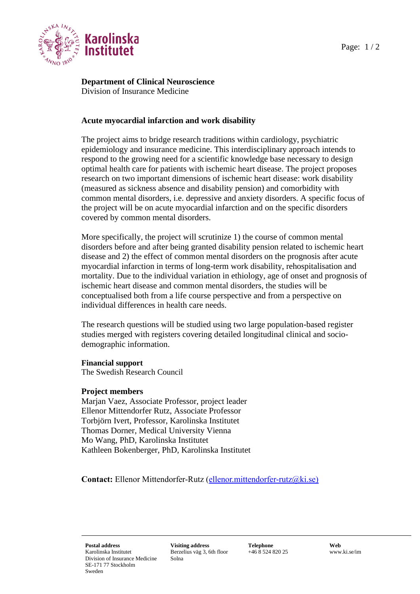# **Department of Clinical Neuroscience** Division of Insurance Medicine

# **Acute myocardial infarction and work disability**

The project aims to bridge research traditions within cardiology, psychiatric epidemiology and insurance medicine. This interdisciplinary approach intends to respond to the growing need for a scientific knowledge base necessary to design optimal health care for patients with ischemic heart disease. The project proposes research on two important dimensions of ischemic heart disease: work disability (measured as sickness absence and disability pension) and comorbidity with common mental disorders, i.e. depressive and anxiety disorders. A specific focus of the project will be on acute myocardial infarction and on the specific disorders covered by common mental disorders.

More specifically, the project will scrutinize 1) the course of common mental disorders before and after being granted disability pension related to ischemic heart disease and 2) the effect of common mental disorders on the prognosis after acute myocardial infarction in terms of long-term work disability, rehospitalisation and mortality. Due to the individual variation in ethiology, age of onset and prognosis of ischemic heart disease and common mental disorders, the studies will be conceptualised both from a life course perspective and from a perspective on individual differences in health care needs.

The research questions will be studied using two large population-based register studies merged with registers covering detailed longitudinal clinical and sociodemographic information.

### **Financial support**

The Swedish Research Council

### **Project members**

Marjan Vaez, Associate Professor, project leader Ellenor Mittendorfer Rutz, Associate Professor Torbjörn Ivert, Professor, Karolinska Institutet Thomas Dorner, Medical University Vienna Mo Wang, PhD, Karolinska Institutet Kathleen Bokenberger, PhD, Karolinska Institutet

**Contact:** Ellenor Mittendorfer-Rutz [\(ellenor.mittendorfer-rutz@ki.se\)](mailto:ellenor.mittendorfer-rutz@ki.se)